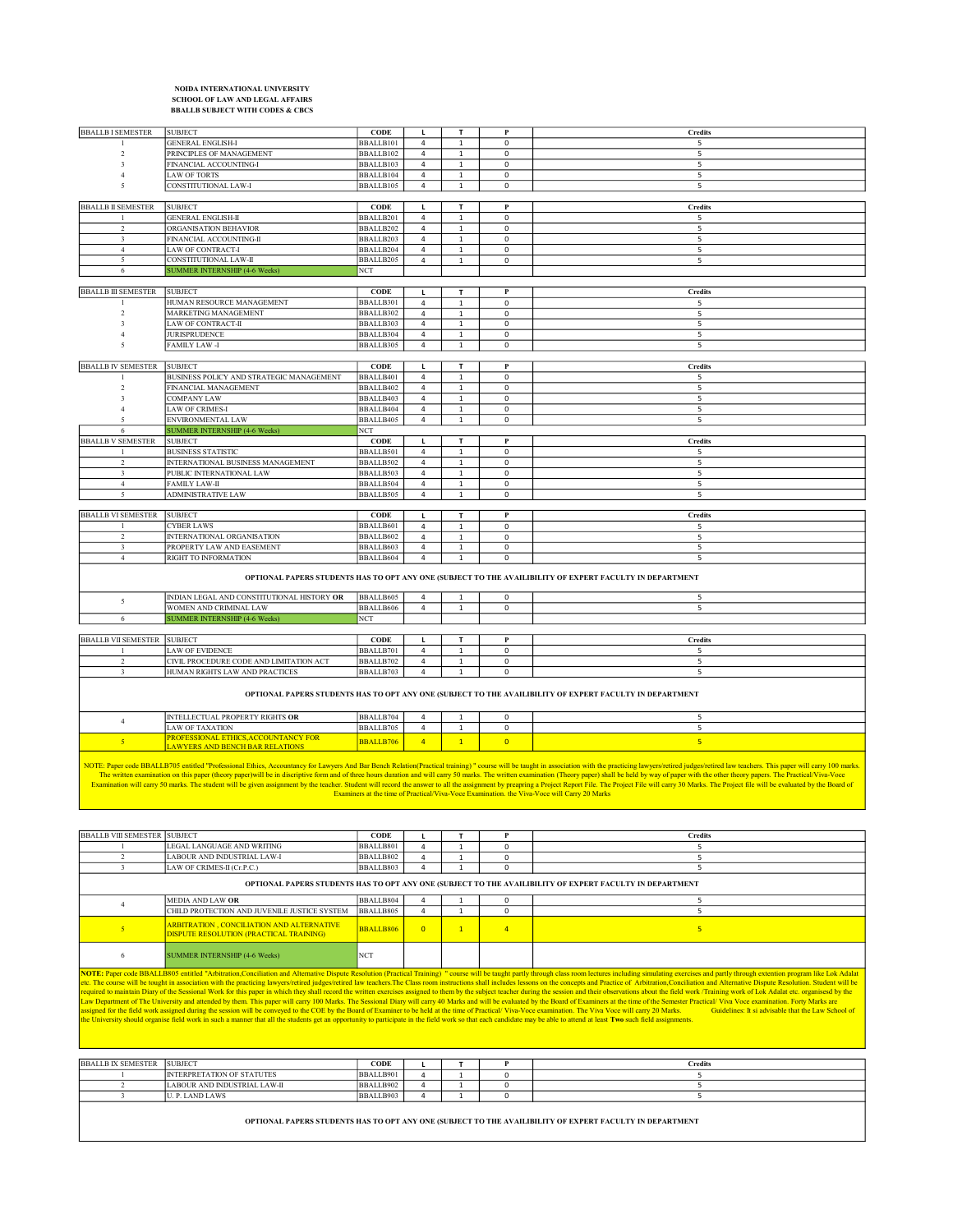## NOIDA INTERNATIONAL UNIVERSITY SCHOOL OF LAW AND LEGAL AFFAIRS BBALLB SUBJECT WITH CODES & CBCS

| <b>BBALLB I SEMESTER</b>                                                                                 | <b>SUBJECT</b>                             | CODE             | г              | T            | $\mathbf P$    | <b>Credits</b> |  |  |
|----------------------------------------------------------------------------------------------------------|--------------------------------------------|------------------|----------------|--------------|----------------|----------------|--|--|
| -1                                                                                                       | <b>GENERAL ENGLISH-I</b>                   | BBALLB101        | 4              | $\mathbf{1}$ | $\pmb{0}$      | 5              |  |  |
| $\mathcal{D}$                                                                                            | PRINCIPLES OF MANAGEMENT                   | BBALLB102        | $\overline{4}$ | $\mathbf 1$  | $\pmb{0}$      | 5              |  |  |
| $\mathcal{R}$                                                                                            | FINANCIAL ACCOUNTING-I                     | BBALLB103        | 4              | $\mathbf{1}$ | $\pmb{0}$      | 5              |  |  |
|                                                                                                          | <b>LAW OF TORTS</b>                        | BBALLB104        | $\overline{4}$ | $\mathbf{1}$ | $\pmb{0}$      | 5              |  |  |
| -5                                                                                                       | CONSTITUTIONAL LAW-I                       | BBALLB105        | $\overline{4}$ | $\mathbf{1}$ | $\pmb{0}$      | 5              |  |  |
|                                                                                                          |                                            |                  |                |              |                |                |  |  |
| <b>BBALLB II SEMESTER</b>                                                                                | <b>SUBJECT</b>                             | <b>CODE</b>      | L              | т            | P              | <b>Credits</b> |  |  |
|                                                                                                          | <b>GENERAL ENGLISH-II</b>                  | BBALLB201        | $\sqrt{4}$     | $\mathbf 1$  | $\pmb{0}$      | 5              |  |  |
| $\overline{2}$                                                                                           | ORGANISATION BEHAVIOR                      | BBALLB202        | $\overline{4}$ | $\mathbf{1}$ | $\mathsf 0$    | 5              |  |  |
| 3                                                                                                        | FINANCIAL ACCOUNTING-II                    | BBALLB203        | $\overline{4}$ | $\mathbf 1$  | $\pmb{0}$      | 5              |  |  |
| $\overline{4}$                                                                                           | LAW OF CONTRACT-I                          | BBALLB204        | $\overline{4}$ | $\mathbf{1}$ | $\pmb{0}$      | 5              |  |  |
| 5                                                                                                        | CONSTITUTIONAL LAW-II                      | BBALLB205        | $\overline{4}$ | $\mathbf{1}$ | $\pmb{0}$      | 5              |  |  |
| 6                                                                                                        | <b>SUMMER INTERNSHIP (4-6 Weeks)</b>       | <b>NCT</b>       |                |              |                |                |  |  |
|                                                                                                          |                                            |                  |                |              |                |                |  |  |
| <b>BBALLB III SEMESTER</b>                                                                               | <b>SUBJECT</b>                             | <b>CODE</b>      | L              | T.           | P              | Credits        |  |  |
| $\mathbf{1}$                                                                                             | HUMAN RESOURCE MANAGEMENT                  | BBALLB301        | 4              | $\mathbf{1}$ | 0              | 5              |  |  |
| $\mathcal{D}$                                                                                            | MARKETING MANAGEMENT                       | BBALLB302        | 4              | $\mathbf{1}$ | $\mathbf 0$    | 5              |  |  |
| $\ddot{\mathbf{3}}$                                                                                      | LAW OF CONTRACT-II                         | BBALLB303        | 4              | $\mathbf{1}$ | $\mathbf 0$    | 5              |  |  |
|                                                                                                          | <b>JURISPRUDENCE</b>                       | BBALLB304        | $\overline{4}$ | $\mathbf{1}$ | $\pmb{0}$      | 5              |  |  |
| $\sim$                                                                                                   | <b>FAMILY LAW -I</b>                       | BBALLB305        | $\overline{4}$ | $\mathbf{1}$ | $\mathsf 0$    | 5              |  |  |
|                                                                                                          |                                            |                  |                |              |                |                |  |  |
| <b>BBALLB IV SEMESTER</b>                                                                                | <b>SUBJECT</b>                             | <b>CODE</b>      | L              | т            | $\mathbf P$    | <b>Credits</b> |  |  |
|                                                                                                          | BUSINESS POLICY AND STRATEGIC MANAGEMENT   | BBALLB401        | $\overline{4}$ | $\mathbf 1$  | $\pmb{0}$      | 5              |  |  |
| $\mathfrak{D}$                                                                                           | FINANCIAL MANAGEMENT                       | BBALLB402        | 4              | 1            | 0              | 5              |  |  |
|                                                                                                          | <b>COMPANY LAW</b>                         | BBALLB403        | $\overline{4}$ | $\mathbf 1$  | $\pmb{0}$      | 5              |  |  |
|                                                                                                          | <b>LAW OF CRIMES-I</b>                     | BBALLB404        | $\overline{4}$ | $\mathbf{1}$ | $\pmb{0}$      | $\overline{5}$ |  |  |
| $\tilde{\mathcal{L}}$                                                                                    | ENVIRONMENTAL LAW                          | BBALLB405        | $\overline{4}$ | $\mathbf 1$  | $\pmb{0}$      | 5              |  |  |
| 6                                                                                                        | <b>SUMMER INTERNSHIP (4-6 Weeks)</b>       | NCT              |                |              |                |                |  |  |
| <b>BBALLB V SEMESTER</b>                                                                                 | <b>SUBJECT</b>                             | $CODE$           | L              | T            | $\bf P$        | <b>Credits</b> |  |  |
|                                                                                                          | <b>BUSINESS STATISTIC</b>                  | BBALLB501        | $\overline{4}$ | $\mathbf 1$  | $\pmb{0}$      | 5              |  |  |
| $\overline{2}$                                                                                           | INTERNATIONAL BUSINESS MANAGEMENT          | BBALLB502        | $\overline{4}$ | $\mathbf 1$  | $\pmb{0}$      | 5              |  |  |
| 3                                                                                                        | PUBLIC INTERNATIONAL LAW                   | BBALLB503        | $\overline{4}$ | $\mathbf{1}$ | $\mathsf 0$    | $\overline{5}$ |  |  |
| $\overline{4}$                                                                                           | <b>FAMILY LAW-II</b>                       | BBALLB504        | $\overline{4}$ | 1            | $\mathbf 0$    | 5              |  |  |
| 5                                                                                                        | <b>ADMINISTRATIVE LAW</b>                  | BBALLB505        | $\overline{4}$ | $\mathbf{1}$ | $\pmb{0}$      | 5              |  |  |
|                                                                                                          |                                            |                  |                |              |                |                |  |  |
| <b>BBALLB VI SEMESTER</b>                                                                                | <b>SUBJECT</b>                             | <b>CODE</b>      | $\mathbf{L}$   | T.           | P              | Credits        |  |  |
| -1                                                                                                       | <b>CYBER LAWS</b>                          | BBALLB601        | 4              | $\mathbf{1}$ | $\pmb{0}$      | 5              |  |  |
| $\overline{2}$                                                                                           | INTERNATIONAL ORGANISATION                 | BBALLB602        | $\overline{4}$ | $\mathbf{1}$ | $\mathbf 0$    | 5              |  |  |
| 3                                                                                                        | PROPERTY LAW AND EASEMENT                  | BBALLB603        | 4              | $\mathbf{1}$ | $\mathbf 0$    | 5              |  |  |
| $\overline{4}$                                                                                           | RIGHT TO INFORMATION                       | BBALLB604        | $\overline{4}$ | $\mathbf{1}$ | $\mathbf 0$    | 5              |  |  |
| OPTIONAL PAPERS STUDENTS HAS TO OPT ANY ONE (SUBJECT TO THE AVAILIBILITY OF EXPERT FACULTY IN DEPARTMENT |                                            |                  |                |              |                |                |  |  |
| 5                                                                                                        | INDIAN LEGAL AND CONSTITUTIONAL HISTORY OR | BBALLB605        | $\overline{4}$ | 1            | $\mathsf 0$    | 5              |  |  |
|                                                                                                          | WOMEN AND CRIMINAL LAW                     | BBALLB606        | $\overline{4}$ | $\mathbf{1}$ | $\mathbf 0$    | 5              |  |  |
| 6                                                                                                        | <b>SUMMER INTERNSHIP (4-6 Weeks)</b>       | <b>NCT</b>       |                |              |                |                |  |  |
|                                                                                                          |                                            |                  |                |              |                |                |  |  |
| <b>BBALLB VII SEMESTER SUBJECT</b>                                                                       |                                            | <b>CODE</b>      | L              | $\mathbf{r}$ | P              | <b>Credits</b> |  |  |
| $\overline{1}$                                                                                           | <b>LAW OF EVIDENCE</b>                     | BBALLB701        | 4              | $\mathbf{1}$ | $\mathbf 0$    | 5              |  |  |
| $\overline{2}$                                                                                           | CIVIL PROCEDURE CODE AND LIMITATION ACT    | BBALLB702        | $\overline{4}$ | $\mathbf{1}$ | $\pmb{0}$      | 5              |  |  |
| $\overline{\mathbf{3}}$                                                                                  | HUMAN RIGHTS LAW AND PRACTICES             | BBALLB703        | $\overline{4}$ | $\mathbf{1}$ | 0              | 5              |  |  |
| OPTIONAL PAPERS STUDENTS HAS TO OPT ANY ONE (SUBJECT TO THE AVAILIBILITY OF EXPERT FACULTY IN DEPARTMENT |                                            |                  |                |              |                |                |  |  |
| $\overline{4}$                                                                                           | <b>INTELLECTUAL PROPERTY RIGHTS OR</b>     | BBALLB704        | 4              | $\mathbf{1}$ | 0              | 5              |  |  |
|                                                                                                          | <b>LAW OF TAXATION</b>                     | BBALLB705        | $\overline{4}$ | $\mathbf 1$  | $\pmb{0}$      | 5              |  |  |
| $5\overline{)}$                                                                                          | PROFESSIONAL ETHICS, ACCOUNTANCY FOR       | <b>BBALLB706</b> | $\overline{4}$ | $\mathbf{1}$ | $\overline{0}$ | 5 <sub>o</sub> |  |  |
|                                                                                                          | <b>LAWYERS AND BENCH BAR RELATIONS</b>     |                  |                |              |                |                |  |  |

NOTE: Paper code BBALLB705 entitled "Professional Ethics, Accountancy for Lawyers And Bar Bench Relation(Practical training) " course will be taught in association with the practicing lawyers/retired judges/retired law tea

| <b>BBALLB VIII SEMESTER</b>                                                                                                                                                                                                                                                                                                                                                                                                                                                                                                                                                                                                                                                                                                                                                                                                                                                                                                                                                                                                                                                                                                                                                                                                                                                                                                                                                                                                        | <b>SUBJECT</b>                                                                                      | <b>CODE</b>      |          |                | P              | <b>Credits</b> |  |  |  |
|------------------------------------------------------------------------------------------------------------------------------------------------------------------------------------------------------------------------------------------------------------------------------------------------------------------------------------------------------------------------------------------------------------------------------------------------------------------------------------------------------------------------------------------------------------------------------------------------------------------------------------------------------------------------------------------------------------------------------------------------------------------------------------------------------------------------------------------------------------------------------------------------------------------------------------------------------------------------------------------------------------------------------------------------------------------------------------------------------------------------------------------------------------------------------------------------------------------------------------------------------------------------------------------------------------------------------------------------------------------------------------------------------------------------------------|-----------------------------------------------------------------------------------------------------|------------------|----------|----------------|----------------|----------------|--|--|--|
|                                                                                                                                                                                                                                                                                                                                                                                                                                                                                                                                                                                                                                                                                                                                                                                                                                                                                                                                                                                                                                                                                                                                                                                                                                                                                                                                                                                                                                    | LEGAL LANGUAGE AND WRITING                                                                          | BBALLB801        |          |                | $\Omega$       |                |  |  |  |
|                                                                                                                                                                                                                                                                                                                                                                                                                                                                                                                                                                                                                                                                                                                                                                                                                                                                                                                                                                                                                                                                                                                                                                                                                                                                                                                                                                                                                                    | LABOUR AND INDUSTRIAL LAW-I                                                                         | BBALLB802        |          |                | $\mathbf 0$    |                |  |  |  |
| $\mathbf{a}$                                                                                                                                                                                                                                                                                                                                                                                                                                                                                                                                                                                                                                                                                                                                                                                                                                                                                                                                                                                                                                                                                                                                                                                                                                                                                                                                                                                                                       | LAW OF CRIMES-II (Cr.P.C.)                                                                          | BBALLB803        |          |                | $\Omega$       |                |  |  |  |
| OPTIONAL PAPERS STUDENTS HAS TO OPT ANY ONE (SUBJECT TO THE AVAILIBILITY OF EXPERT FACULTY IN DEPARTMENT                                                                                                                                                                                                                                                                                                                                                                                                                                                                                                                                                                                                                                                                                                                                                                                                                                                                                                                                                                                                                                                                                                                                                                                                                                                                                                                           |                                                                                                     |                  |          |                |                |                |  |  |  |
|                                                                                                                                                                                                                                                                                                                                                                                                                                                                                                                                                                                                                                                                                                                                                                                                                                                                                                                                                                                                                                                                                                                                                                                                                                                                                                                                                                                                                                    | MEDIA AND LAW OR                                                                                    | BBALLB804        |          |                | $\mathbf 0$    | 5              |  |  |  |
|                                                                                                                                                                                                                                                                                                                                                                                                                                                                                                                                                                                                                                                                                                                                                                                                                                                                                                                                                                                                                                                                                                                                                                                                                                                                                                                                                                                                                                    | CHILD PROTECTION AND JUVENILE JUSTICE SYSTEM                                                        | BBALLB805        |          |                | $\Omega$       |                |  |  |  |
| 5 <sup>1</sup>                                                                                                                                                                                                                                                                                                                                                                                                                                                                                                                                                                                                                                                                                                                                                                                                                                                                                                                                                                                                                                                                                                                                                                                                                                                                                                                                                                                                                     | <b>ARBITRATION . CONCILIATION AND ALTERNATIVE</b><br><b>DISPUTE RESOLUTION (PRACTICAL TRAINING)</b> | <b>BBALLB806</b> | $\Omega$ | $\overline{1}$ | $\overline{4}$ | 5              |  |  |  |
| 6                                                                                                                                                                                                                                                                                                                                                                                                                                                                                                                                                                                                                                                                                                                                                                                                                                                                                                                                                                                                                                                                                                                                                                                                                                                                                                                                                                                                                                  | <b>SUMMER INTERNSHIP (4-6 Weeks)</b>                                                                | <b>NCT</b>       |          |                |                |                |  |  |  |
| NOTE: Paper code BBALLB805 entitled "Arbitration,Conciliation and Alternative Dispute Resolution (Practical Training) " course will be taught partly through class room lectures including simulating exercises and partly thr<br>etc. The course will be tought in association with the practicing lawyers/retired judges/retired daw teachers.The Class room instructions shall includes lessons on the concepts and Practice of Arbitration,Conciliation and<br>required to maintain Diary of the Sessional Work for this paper in which they shall record the written exercises assigned to them by the subject teacher during the session and their observations about the field work /Train<br>Law Department of The University and attended by them. This paper will carry 100 Marks. The Sessional Diary will carry 40 Marks and will be evaluated by the Board of Examiners at the time of the Semester Practical/Viva Voc<br>assigned for the field work assigned during the session will be conveyed to the COE by the Board of Examiner to be held at the time of Practical/ Viva-Voce examination. The Viva Voce will carry 20 Marks.<br>Guidelines: It si advisable that the Law School of<br>the University should organise field work in such a manner that all the students get an opportunity to participate in the field work so that each candidate may be able to attend at least Two such field assignments. |                                                                                                     |                  |          |                |                |                |  |  |  |
|                                                                                                                                                                                                                                                                                                                                                                                                                                                                                                                                                                                                                                                                                                                                                                                                                                                                                                                                                                                                                                                                                                                                                                                                                                                                                                                                                                                                                                    |                                                                                                     |                  |          |                |                |                |  |  |  |
| <b>BBALLB IX SEMESTER</b>                                                                                                                                                                                                                                                                                                                                                                                                                                                                                                                                                                                                                                                                                                                                                                                                                                                                                                                                                                                                                                                                                                                                                                                                                                                                                                                                                                                                          | <b>SUBJECT</b>                                                                                      | <b>CODE</b>      |          | т              | P              | <b>Credits</b> |  |  |  |
|                                                                                                                                                                                                                                                                                                                                                                                                                                                                                                                                                                                                                                                                                                                                                                                                                                                                                                                                                                                                                                                                                                                                                                                                                                                                                                                                                                                                                                    | <b>INTERPRETATION OF STATUTES</b>                                                                   | BBALLB901        |          |                | 0              | 5              |  |  |  |
| $\mathfrak{D}$                                                                                                                                                                                                                                                                                                                                                                                                                                                                                                                                                                                                                                                                                                                                                                                                                                                                                                                                                                                                                                                                                                                                                                                                                                                                                                                                                                                                                     | LABOUR AND INDUSTRIAL LAW-II                                                                        | BBALLB902        |          |                | 0              | 5              |  |  |  |
|                                                                                                                                                                                                                                                                                                                                                                                                                                                                                                                                                                                                                                                                                                                                                                                                                                                                                                                                                                                                                                                                                                                                                                                                                                                                                                                                                                                                                                    | U. P. LAND LAWS                                                                                     | BBALLB903        |          |                | $\Omega$       |                |  |  |  |

OPTIONAL PAPERS STUDENTS HAS TO OPT ANY ONE (SUBJECT TO THE AVAILIBILITY OF EXPERT FACULTY IN DEPARTMENT